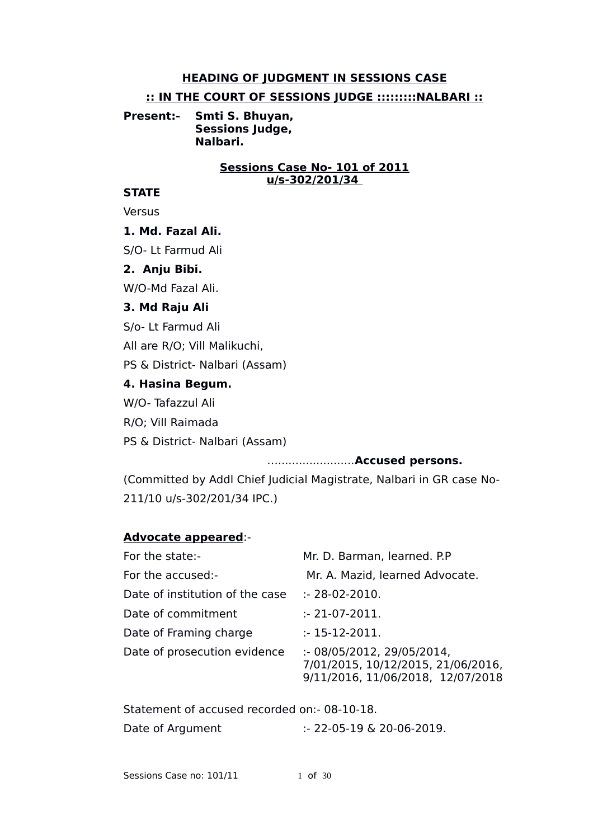### **HEADING OF JUDGMENT IN SESSIONS CASE**

#### **:: IN THE COURT OF SESSIONS JUDGE :::::::::NALBARI ::**

**Present:- Smti S. Bhuyan, Sessions Judge, Nalbari.**

### **Sessions Case No- 101 of 2011 u/s-302/201/34**

### **STATE**

**Versus** 

### **1. Md. Fazal Ali.**

S/O- Lt Farmud Ali

### **2. Anju Bibi.**

W/O-Md Fazal Ali.

#### **3. Md Raju Ali**

S/o- Lt Farmud Ali

All are R/O; Vill Malikuchi,

PS & District- Nalbari (Assam)

### **4. Hasina Begum.**

W/O- Tafazzul Ali

R/O; Vill Raimada

PS & District- Nalbari (Assam)

#### …......................**Accused persons.**

(Committed by Addl Chief Judicial Magistrate, Nalbari in GR case No-211/10 u/s-302/201/34 IPC.)

### **Advocate appeared**:-

| For the state:-                 | Mr. D. Barman, learned. P.P                                                                          |
|---------------------------------|------------------------------------------------------------------------------------------------------|
| For the accused:-               | Mr. A. Mazid, learned Advocate.                                                                      |
| Date of institution of the case | :- 28-02-2010.                                                                                       |
| Date of commitment              | $: 21-07-2011.$                                                                                      |
| Date of Framing charge          | $: 15 - 12 - 2011.$                                                                                  |
| Date of prosecution evidence    | : 08/05/2012, 29/05/2014,<br>7/01/2015, 10/12/2015, 21/06/2016,<br>9/11/2016, 11/06/2018, 12/07/2018 |

Statement of accused recorded on:- 08-10-18.

Date of Argument :- 22-05-19 & 20-06-2019.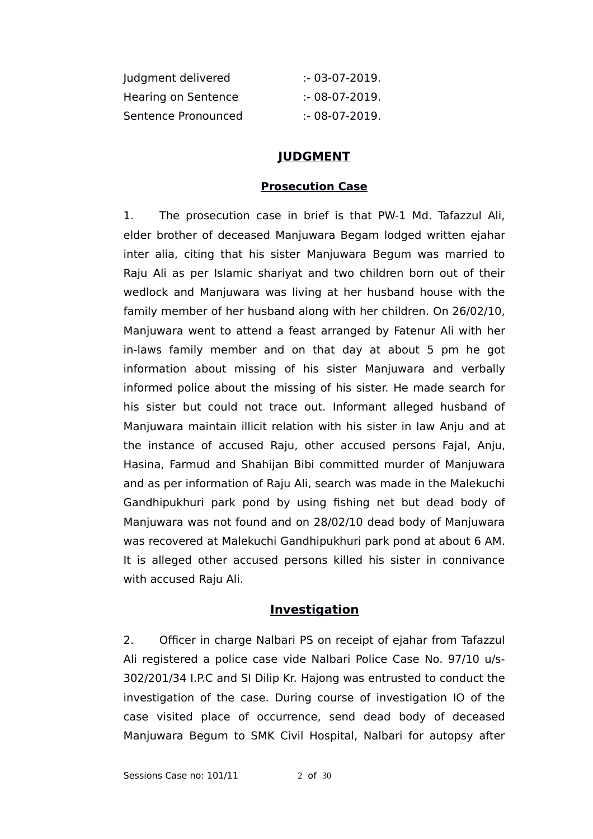| Judgment delivered  | $: 03-07-2019.$ |
|---------------------|-----------------|
| Hearing on Sentence | $: 08-07-2019.$ |
| Sentence Pronounced | $: 08-07-2019.$ |

# **JUDGMENT**

### **Prosecution Case**

1. The prosecution case in brief is that PW-1 Md. Tafazzul Ali, elder brother of deceased Manjuwara Begam lodged written ejahar inter alia, citing that his sister Manjuwara Begum was married to Raju Ali as per Islamic shariyat and two children born out of their wedlock and Manjuwara was living at her husband house with the family member of her husband along with her children. On 26/02/10, Manjuwara went to attend a feast arranged by Fatenur Ali with her in-laws family member and on that day at about 5 pm he got information about missing of his sister Manjuwara and verbally informed police about the missing of his sister. He made search for his sister but could not trace out. Informant alleged husband of Manjuwara maintain illicit relation with his sister in law Anju and at the instance of accused Raju, other accused persons Fajal, Anju, Hasina, Farmud and Shahijan Bibi committed murder of Manjuwara and as per information of Raju Ali, search was made in the Malekuchi Gandhipukhuri park pond by using fishing net but dead body of Manjuwara was not found and on 28/02/10 dead body of Manjuwara was recovered at Malekuchi Gandhipukhuri park pond at about 6 AM. It is alleged other accused persons killed his sister in connivance with accused Raju Ali.

# **Investigation**

2. Officer in charge Nalbari PS on receipt of ejahar from Tafazzul Ali registered a police case vide Nalbari Police Case No. 97/10 u/s-302/201/34 I.P.C and SI Dilip Kr. Hajong was entrusted to conduct the investigation of the case. During course of investigation IO of the case visited place of occurrence, send dead body of deceased Manjuwara Begum to SMK Civil Hospital, Nalbari for autopsy after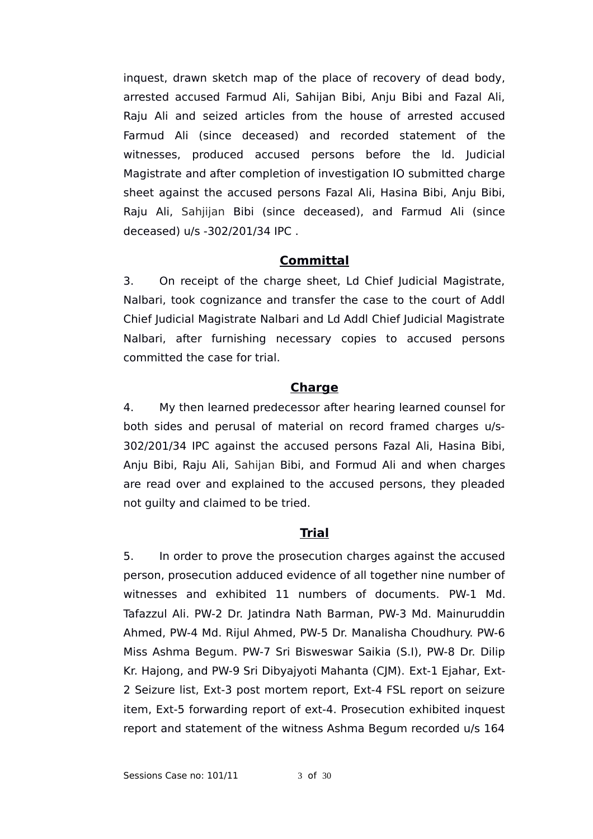inquest, drawn sketch map of the place of recovery of dead body, arrested accused Farmud Ali, Sahijan Bibi, Anju Bibi and Fazal Ali, Raju Ali and seized articles from the house of arrested accused Farmud Ali (since deceased) and recorded statement of the witnesses, produced accused persons before the ld. Judicial Magistrate and after completion of investigation IO submitted charge sheet against the accused persons Fazal Ali, Hasina Bibi, Anju Bibi, Raju Ali, Sahjijan Bibi (since deceased), and Farmud Ali (since deceased) u/s -302/201/34 IPC .

# **Committal**

3. On receipt of the charge sheet, Ld Chief Judicial Magistrate, Nalbari, took cognizance and transfer the case to the court of Addl Chief Judicial Magistrate Nalbari and Ld Addl Chief Judicial Magistrate Nalbari, after furnishing necessary copies to accused persons committed the case for trial.

# **Charge**

4. My then learned predecessor after hearing learned counsel for both sides and perusal of material on record framed charges u/s-302/201/34 IPC against the accused persons Fazal Ali, Hasina Bibi, Anju Bibi, Raju Ali, Sahijan Bibi, and Formud Ali and when charges are read over and explained to the accused persons, they pleaded not guilty and claimed to be tried.

# **Trial**

5. In order to prove the prosecution charges against the accused person, prosecution adduced evidence of all together nine number of witnesses and exhibited 11 numbers of documents. PW-1 Md. Tafazzul Ali. PW-2 Dr. Jatindra Nath Barman, PW-3 Md. Mainuruddin Ahmed, PW-4 Md. Rijul Ahmed, PW-5 Dr. Manalisha Choudhury. PW-6 Miss Ashma Begum. PW-7 Sri Bisweswar Saikia (S.I), PW-8 Dr. Dilip Kr. Hajong, and PW-9 Sri Dibyajyoti Mahanta (CJM). Ext-1 Ejahar, Ext-2 Seizure list, Ext-3 post mortem report, Ext-4 FSL report on seizure item, Ext-5 forwarding report of ext-4. Prosecution exhibited inquest report and statement of the witness Ashma Begum recorded u/s 164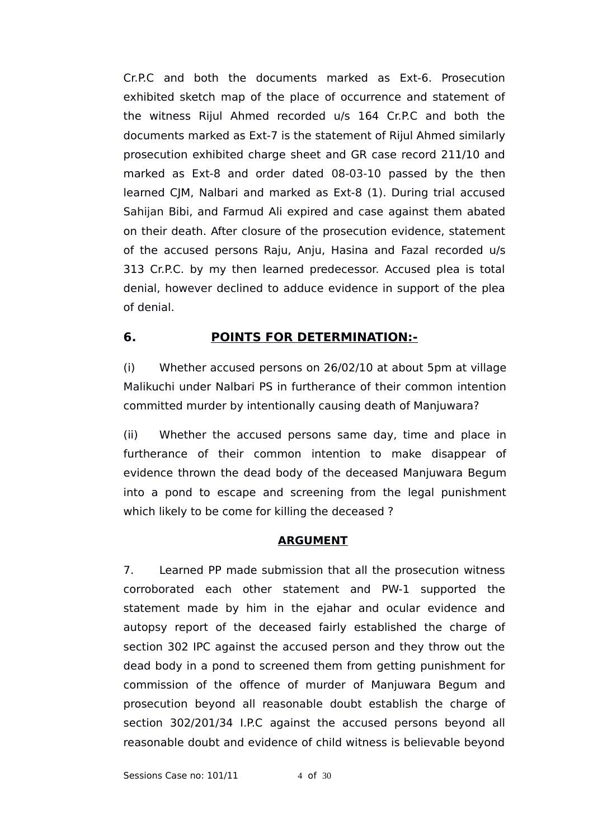Cr.P.C and both the documents marked as Ext-6. Prosecution exhibited sketch map of the place of occurrence and statement of the witness Rijul Ahmed recorded u/s 164 Cr.P.C and both the documents marked as Ext-7 is the statement of Rijul Ahmed similarly prosecution exhibited charge sheet and GR case record 211/10 and marked as Ext-8 and order dated 08-03-10 passed by the then learned CJM, Nalbari and marked as Ext-8 (1). During trial accused Sahijan Bibi, and Farmud Ali expired and case against them abated on their death. After closure of the prosecution evidence, statement of the accused persons Raju, Anju, Hasina and Fazal recorded u/s 313 Cr.P.C. by my then learned predecessor. Accused plea is total denial, however declined to adduce evidence in support of the plea of denial.

# **6. POINTS FOR DETERMINATION:-**

(i) Whether accused persons on 26/02/10 at about 5pm at village Malikuchi under Nalbari PS in furtherance of their common intention committed murder by intentionally causing death of Manjuwara?

(ii) Whether the accused persons same day, time and place in furtherance of their common intention to make disappear of evidence thrown the dead body of the deceased Manjuwara Begum into a pond to escape and screening from the legal punishment which likely to be come for killing the deceased ?

# **ARGUMENT**

7. Learned PP made submission that all the prosecution witness corroborated each other statement and PW-1 supported the statement made by him in the ejahar and ocular evidence and autopsy report of the deceased fairly established the charge of section 302 IPC against the accused person and they throw out the dead body in a pond to screened them from getting punishment for commission of the offence of murder of Manjuwara Begum and prosecution beyond all reasonable doubt establish the charge of section 302/201/34 I.P.C against the accused persons beyond all reasonable doubt and evidence of child witness is believable beyond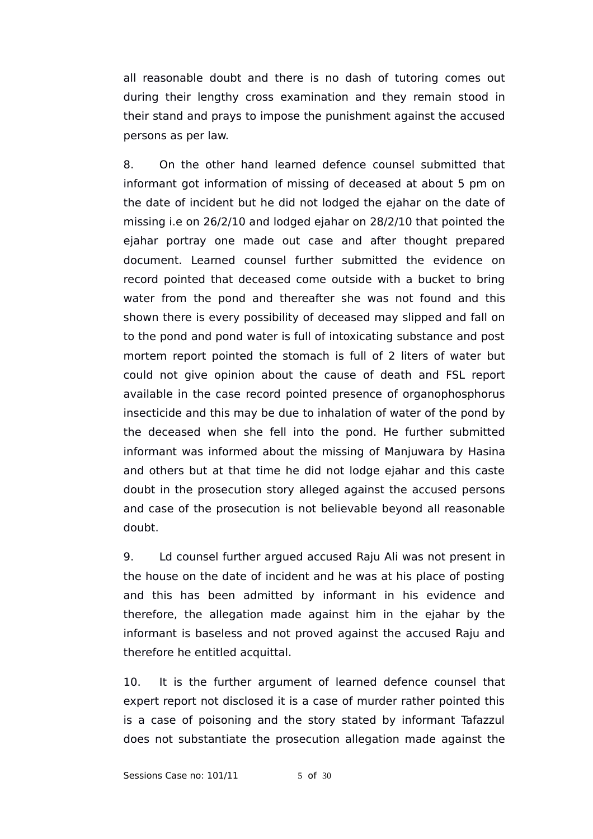all reasonable doubt and there is no dash of tutoring comes out during their lengthy cross examination and they remain stood in their stand and prays to impose the punishment against the accused persons as per law.

8. On the other hand learned defence counsel submitted that informant got information of missing of deceased at about 5 pm on the date of incident but he did not lodged the ejahar on the date of missing i.e on 26/2/10 and lodged ejahar on 28/2/10 that pointed the ejahar portray one made out case and after thought prepared document. Learned counsel further submitted the evidence on record pointed that deceased come outside with a bucket to bring water from the pond and thereafter she was not found and this shown there is every possibility of deceased may slipped and fall on to the pond and pond water is full of intoxicating substance and post mortem report pointed the stomach is full of 2 liters of water but could not give opinion about the cause of death and FSL report available in the case record pointed presence of organophosphorus insecticide and this may be due to inhalation of water of the pond by the deceased when she fell into the pond. He further submitted informant was informed about the missing of Manjuwara by Hasina and others but at that time he did not lodge ejahar and this caste doubt in the prosecution story alleged against the accused persons and case of the prosecution is not believable beyond all reasonable doubt.

9. Ld counsel further argued accused Raju Ali was not present in the house on the date of incident and he was at his place of posting and this has been admitted by informant in his evidence and therefore, the allegation made against him in the ejahar by the informant is baseless and not proved against the accused Raju and therefore he entitled acquittal.

10. It is the further argument of learned defence counsel that expert report not disclosed it is a case of murder rather pointed this is a case of poisoning and the story stated by informant Tafazzul does not substantiate the prosecution allegation made against the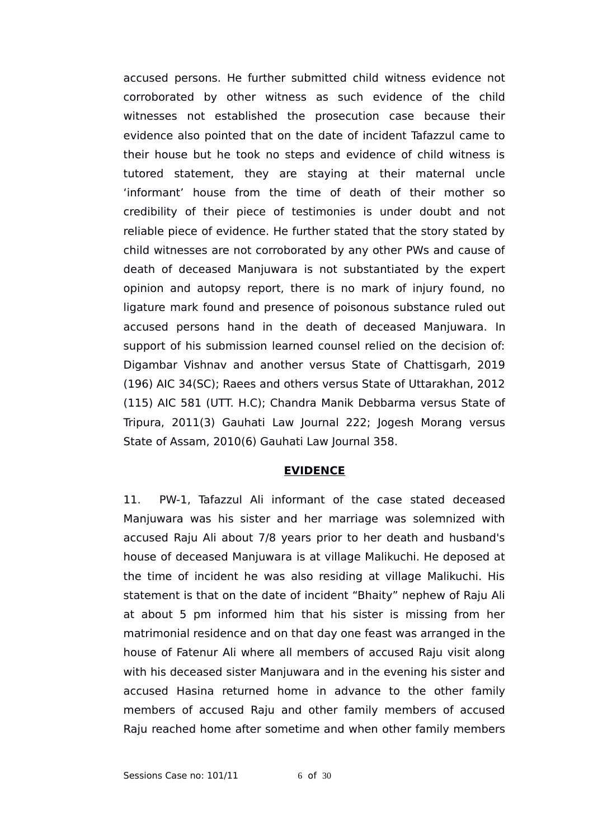accused persons. He further submitted child witness evidence not corroborated by other witness as such evidence of the child witnesses not established the prosecution case because their evidence also pointed that on the date of incident Tafazzul came to their house but he took no steps and evidence of child witness is tutored statement, they are staying at their maternal uncle 'informant' house from the time of death of their mother so credibility of their piece of testimonies is under doubt and not reliable piece of evidence. He further stated that the story stated by child witnesses are not corroborated by any other PWs and cause of death of deceased Manjuwara is not substantiated by the expert opinion and autopsy report, there is no mark of injury found, no ligature mark found and presence of poisonous substance ruled out accused persons hand in the death of deceased Manjuwara. In support of his submission learned counsel relied on the decision of: Digambar Vishnav and another versus State of Chattisgarh, 2019 (196) AIC 34(SC); Raees and others versus State of Uttarakhan, 2012 (115) AIC 581 (UTT. H.C); Chandra Manik Debbarma versus State of Tripura, 2011(3) Gauhati Law Journal 222; Jogesh Morang versus State of Assam, 2010(6) Gauhati Law Journal 358.

### **EVIDENCE**

11. PW-1, Tafazzul Ali informant of the case stated deceased Manjuwara was his sister and her marriage was solemnized with accused Raju Ali about 7/8 years prior to her death and husband's house of deceased Manjuwara is at village Malikuchi. He deposed at the time of incident he was also residing at village Malikuchi. His statement is that on the date of incident "Bhaity" nephew of Raju Ali at about 5 pm informed him that his sister is missing from her matrimonial residence and on that day one feast was arranged in the house of Fatenur Ali where all members of accused Raju visit along with his deceased sister Manjuwara and in the evening his sister and accused Hasina returned home in advance to the other family members of accused Raju and other family members of accused Raju reached home after sometime and when other family members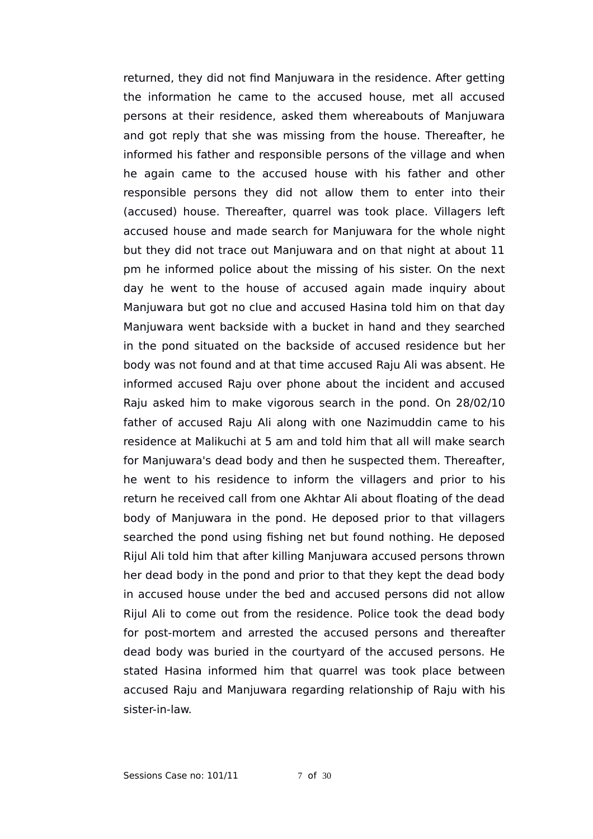returned, they did not find Manjuwara in the residence. After getting the information he came to the accused house, met all accused persons at their residence, asked them whereabouts of Manjuwara and got reply that she was missing from the house. Thereafter, he informed his father and responsible persons of the village and when he again came to the accused house with his father and other responsible persons they did not allow them to enter into their (accused) house. Thereafter, quarrel was took place. Villagers left accused house and made search for Manjuwara for the whole night but they did not trace out Manjuwara and on that night at about 11 pm he informed police about the missing of his sister. On the next day he went to the house of accused again made inquiry about Manjuwara but got no clue and accused Hasina told him on that day Manjuwara went backside with a bucket in hand and they searched in the pond situated on the backside of accused residence but her body was not found and at that time accused Raju Ali was absent. He informed accused Raju over phone about the incident and accused Raju asked him to make vigorous search in the pond. On 28/02/10 father of accused Raju Ali along with one Nazimuddin came to his residence at Malikuchi at 5 am and told him that all will make search for Manjuwara's dead body and then he suspected them. Thereafter, he went to his residence to inform the villagers and prior to his return he received call from one Akhtar Ali about floating of the dead body of Manjuwara in the pond. He deposed prior to that villagers searched the pond using fishing net but found nothing. He deposed Rijul Ali told him that after killing Manjuwara accused persons thrown her dead body in the pond and prior to that they kept the dead body in accused house under the bed and accused persons did not allow Rijul Ali to come out from the residence. Police took the dead body for post-mortem and arrested the accused persons and thereafter dead body was buried in the courtyard of the accused persons. He stated Hasina informed him that quarrel was took place between accused Raju and Manjuwara regarding relationship of Raju with his sister-in-law.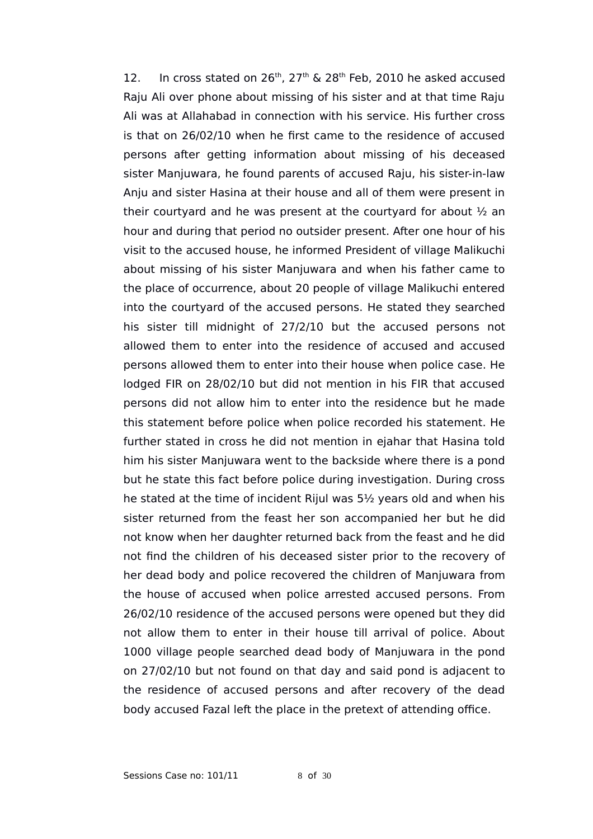12. In cross stated on  $26<sup>th</sup>$ ,  $27<sup>th</sup>$  &  $28<sup>th</sup>$  Feb, 2010 he asked accused Raju Ali over phone about missing of his sister and at that time Raju Ali was at Allahabad in connection with his service. His further cross is that on 26/02/10 when he first came to the residence of accused persons after getting information about missing of his deceased sister Manjuwara, he found parents of accused Raju, his sister-in-law Anju and sister Hasina at their house and all of them were present in their courtyard and he was present at the courtyard for about ½ an hour and during that period no outsider present. After one hour of his visit to the accused house, he informed President of village Malikuchi about missing of his sister Manjuwara and when his father came to the place of occurrence, about 20 people of village Malikuchi entered into the courtyard of the accused persons. He stated they searched his sister till midnight of 27/2/10 but the accused persons not allowed them to enter into the residence of accused and accused persons allowed them to enter into their house when police case. He lodged FIR on 28/02/10 but did not mention in his FIR that accused persons did not allow him to enter into the residence but he made this statement before police when police recorded his statement. He further stated in cross he did not mention in ejahar that Hasina told him his sister Manjuwara went to the backside where there is a pond but he state this fact before police during investigation. During cross he stated at the time of incident Rijul was 5½ years old and when his sister returned from the feast her son accompanied her but he did not know when her daughter returned back from the feast and he did not find the children of his deceased sister prior to the recovery of her dead body and police recovered the children of Manjuwara from the house of accused when police arrested accused persons. From 26/02/10 residence of the accused persons were opened but they did not allow them to enter in their house till arrival of police. About 1000 village people searched dead body of Manjuwara in the pond on 27/02/10 but not found on that day and said pond is adjacent to the residence of accused persons and after recovery of the dead body accused Fazal left the place in the pretext of attending office.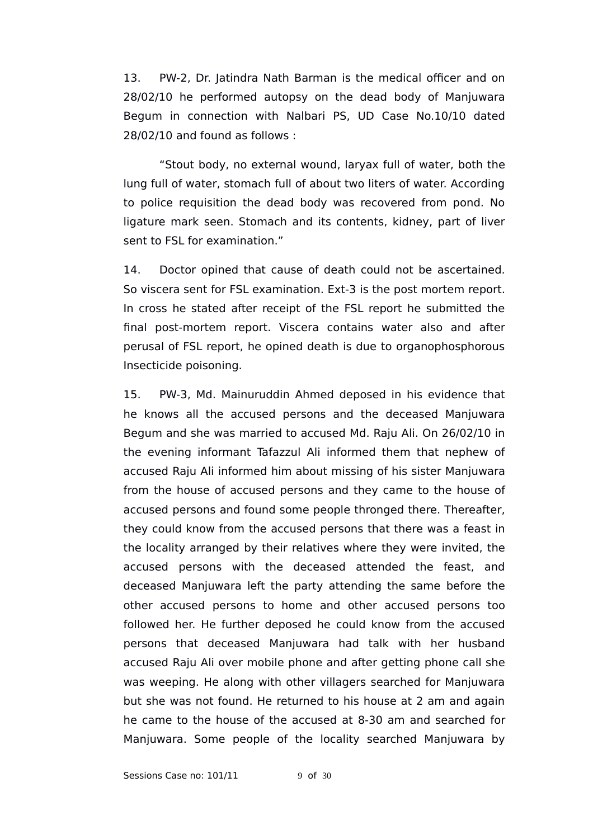13. PW-2, Dr. Jatindra Nath Barman is the medical officer and on 28/02/10 he performed autopsy on the dead body of Manjuwara Begum in connection with Nalbari PS, UD Case No.10/10 dated 28/02/10 and found as follows :

"Stout body, no external wound, laryax full of water, both the lung full of water, stomach full of about two liters of water. According to police requisition the dead body was recovered from pond. No ligature mark seen. Stomach and its contents, kidney, part of liver sent to FSL for examination."

14. Doctor opined that cause of death could not be ascertained. So viscera sent for FSL examination. Ext-3 is the post mortem report. In cross he stated after receipt of the FSL report he submitted the final post-mortem report. Viscera contains water also and after perusal of FSL report, he opined death is due to organophosphorous Insecticide poisoning.

15. PW-3, Md. Mainuruddin Ahmed deposed in his evidence that he knows all the accused persons and the deceased Manjuwara Begum and she was married to accused Md. Raju Ali. On 26/02/10 in the evening informant Tafazzul Ali informed them that nephew of accused Raju Ali informed him about missing of his sister Manjuwara from the house of accused persons and they came to the house of accused persons and found some people thronged there. Thereafter, they could know from the accused persons that there was a feast in the locality arranged by their relatives where they were invited, the accused persons with the deceased attended the feast, and deceased Manjuwara left the party attending the same before the other accused persons to home and other accused persons too followed her. He further deposed he could know from the accused persons that deceased Manjuwara had talk with her husband accused Raju Ali over mobile phone and after getting phone call she was weeping. He along with other villagers searched for Manjuwara but she was not found. He returned to his house at 2 am and again he came to the house of the accused at 8-30 am and searched for Manjuwara. Some people of the locality searched Manjuwara by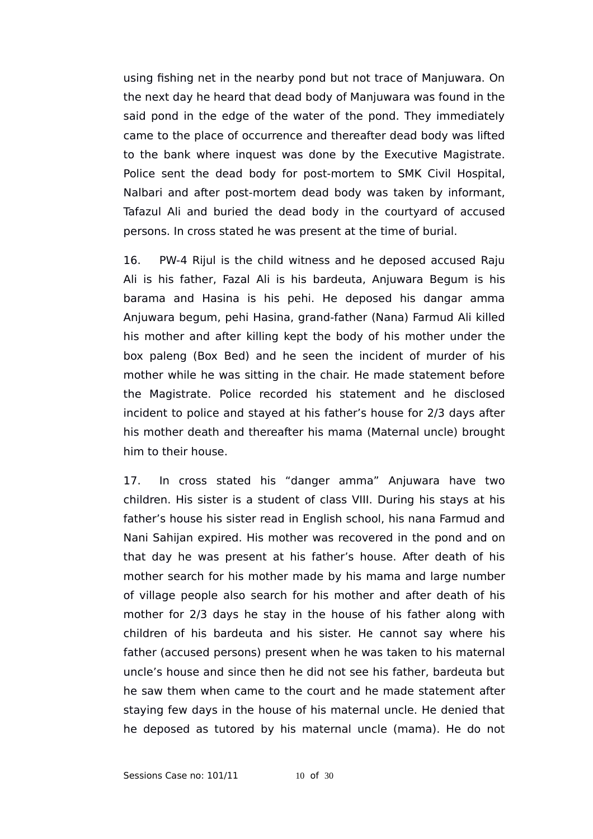using fishing net in the nearby pond but not trace of Manjuwara. On the next day he heard that dead body of Manjuwara was found in the said pond in the edge of the water of the pond. They immediately came to the place of occurrence and thereafter dead body was lifted to the bank where inquest was done by the Executive Magistrate. Police sent the dead body for post-mortem to SMK Civil Hospital, Nalbari and after post-mortem dead body was taken by informant, Tafazul Ali and buried the dead body in the courtyard of accused persons. In cross stated he was present at the time of burial.

16. PW-4 Rijul is the child witness and he deposed accused Raju Ali is his father, Fazal Ali is his bardeuta, Anjuwara Begum is his barama and Hasina is his pehi. He deposed his dangar amma Anjuwara begum, pehi Hasina, grand-father (Nana) Farmud Ali killed his mother and after killing kept the body of his mother under the box paleng (Box Bed) and he seen the incident of murder of his mother while he was sitting in the chair. He made statement before the Magistrate. Police recorded his statement and he disclosed incident to police and stayed at his father's house for 2/3 days after his mother death and thereafter his mama (Maternal uncle) brought him to their house.

17. In cross stated his "danger amma" Anjuwara have two children. His sister is a student of class VIII. During his stays at his father's house his sister read in English school, his nana Farmud and Nani Sahijan expired. His mother was recovered in the pond and on that day he was present at his father's house. After death of his mother search for his mother made by his mama and large number of village people also search for his mother and after death of his mother for 2/3 days he stay in the house of his father along with children of his bardeuta and his sister. He cannot say where his father (accused persons) present when he was taken to his maternal uncle's house and since then he did not see his father, bardeuta but he saw them when came to the court and he made statement after staying few days in the house of his maternal uncle. He denied that he deposed as tutored by his maternal uncle (mama). He do not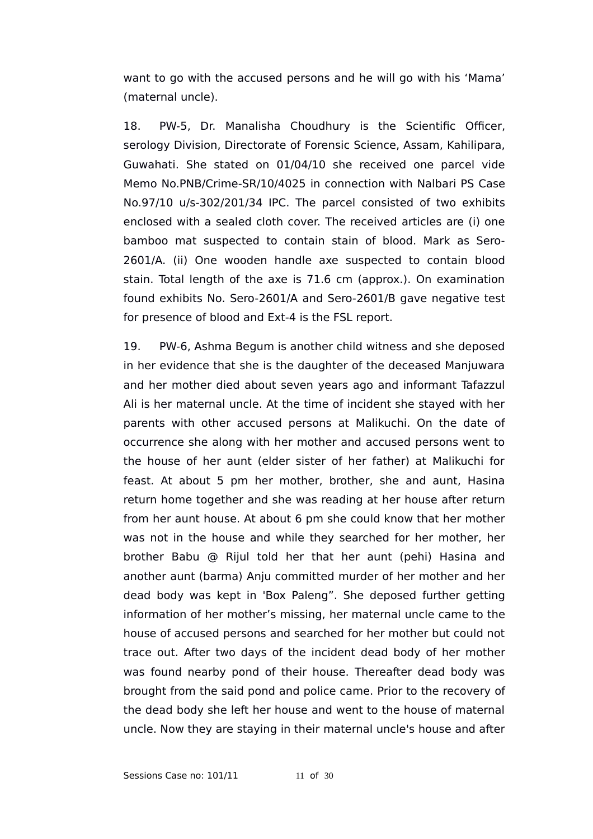want to go with the accused persons and he will go with his 'Mama' (maternal uncle).

18. PW-5, Dr. Manalisha Choudhury is the Scientific Officer, serology Division, Directorate of Forensic Science, Assam, Kahilipara, Guwahati. She stated on 01/04/10 she received one parcel vide Memo No.PNB/Crime-SR/10/4025 in connection with Nalbari PS Case No.97/10 u/s-302/201/34 IPC. The parcel consisted of two exhibits enclosed with a sealed cloth cover. The received articles are (i) one bamboo mat suspected to contain stain of blood. Mark as Sero-2601/A. (ii) One wooden handle axe suspected to contain blood stain. Total length of the axe is 71.6 cm (approx.). On examination found exhibits No. Sero-2601/A and Sero-2601/B gave negative test for presence of blood and Ext-4 is the FSL report.

19. PW-6, Ashma Begum is another child witness and she deposed in her evidence that she is the daughter of the deceased Manjuwara and her mother died about seven years ago and informant Tafazzul Ali is her maternal uncle. At the time of incident she stayed with her parents with other accused persons at Malikuchi. On the date of occurrence she along with her mother and accused persons went to the house of her aunt (elder sister of her father) at Malikuchi for feast. At about 5 pm her mother, brother, she and aunt, Hasina return home together and she was reading at her house after return from her aunt house. At about 6 pm she could know that her mother was not in the house and while they searched for her mother, her brother Babu @ Rijul told her that her aunt (pehi) Hasina and another aunt (barma) Anju committed murder of her mother and her dead body was kept in 'Box Paleng". She deposed further getting information of her mother's missing, her maternal uncle came to the house of accused persons and searched for her mother but could not trace out. After two days of the incident dead body of her mother was found nearby pond of their house. Thereafter dead body was brought from the said pond and police came. Prior to the recovery of the dead body she left her house and went to the house of maternal uncle. Now they are staying in their maternal uncle's house and after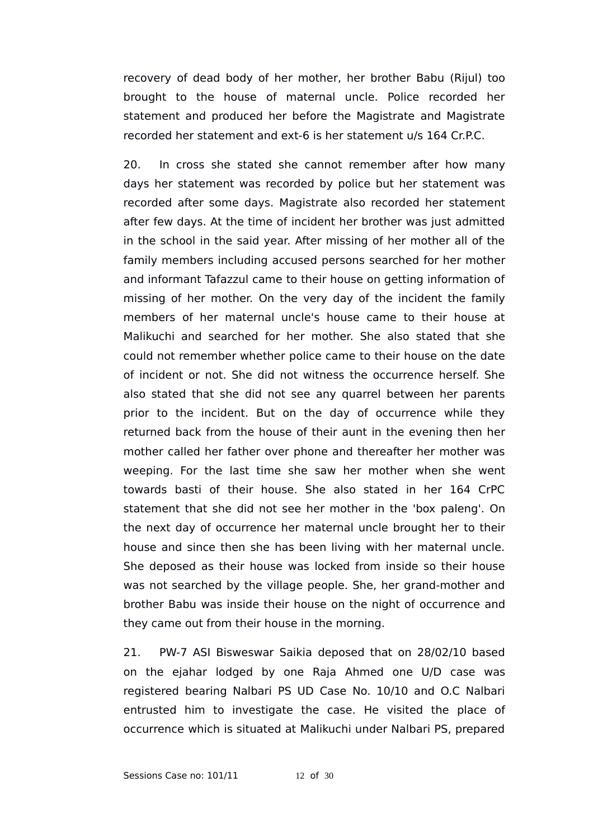recovery of dead body of her mother, her brother Babu (Rijul) too brought to the house of maternal uncle. Police recorded her statement and produced her before the Magistrate and Magistrate recorded her statement and ext-6 is her statement u/s 164 Cr.P.C.

20. In cross she stated she cannot remember after how many days her statement was recorded by police but her statement was recorded after some days. Magistrate also recorded her statement after few days. At the time of incident her brother was just admitted in the school in the said year. After missing of her mother all of the family members including accused persons searched for her mother and informant Tafazzul came to their house on getting information of missing of her mother. On the very day of the incident the family members of her maternal uncle's house came to their house at Malikuchi and searched for her mother. She also stated that she could not remember whether police came to their house on the date of incident or not. She did not witness the occurrence herself. She also stated that she did not see any quarrel between her parents prior to the incident. But on the day of occurrence while they returned back from the house of their aunt in the evening then her mother called her father over phone and thereafter her mother was weeping. For the last time she saw her mother when she went towards basti of their house. She also stated in her 164 CrPC statement that she did not see her mother in the 'box paleng'. On the next day of occurrence her maternal uncle brought her to their house and since then she has been living with her maternal uncle. She deposed as their house was locked from inside so their house was not searched by the village people. She, her grand-mother and brother Babu was inside their house on the night of occurrence and they came out from their house in the morning.

21. PW-7 ASI Bisweswar Saikia deposed that on 28/02/10 based on the ejahar lodged by one Raja Ahmed one U/D case was registered bearing Nalbari PS UD Case No. 10/10 and O.C Nalbari entrusted him to investigate the case. He visited the place of occurrence which is situated at Malikuchi under Nalbari PS, prepared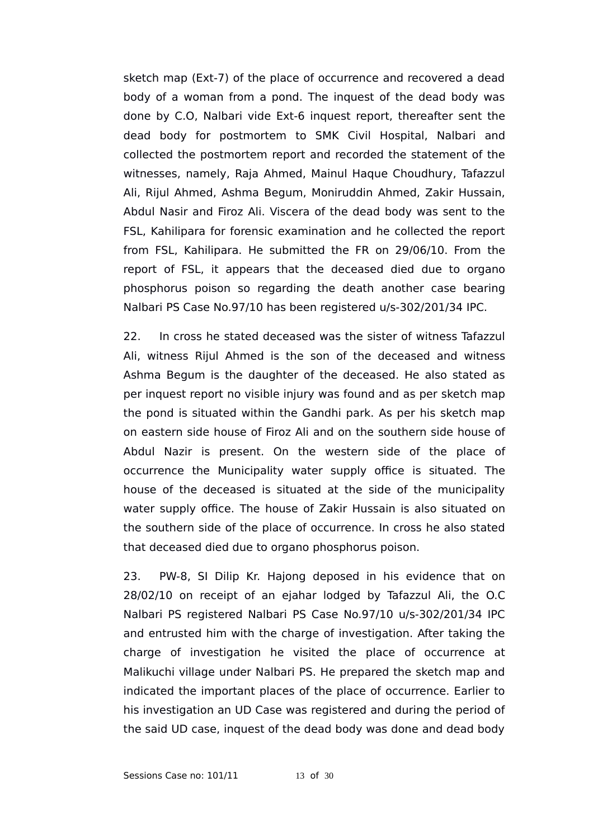sketch map (Ext-7) of the place of occurrence and recovered a dead body of a woman from a pond. The inquest of the dead body was done by C.O, Nalbari vide Ext-6 inquest report, thereafter sent the dead body for postmortem to SMK Civil Hospital, Nalbari and collected the postmortem report and recorded the statement of the witnesses, namely, Raja Ahmed, Mainul Haque Choudhury, Tafazzul Ali, Rijul Ahmed, Ashma Begum, Moniruddin Ahmed, Zakir Hussain, Abdul Nasir and Firoz Ali. Viscera of the dead body was sent to the FSL, Kahilipara for forensic examination and he collected the report from FSL, Kahilipara. He submitted the FR on 29/06/10. From the report of FSL, it appears that the deceased died due to organo phosphorus poison so regarding the death another case bearing Nalbari PS Case No.97/10 has been registered u/s-302/201/34 IPC.

22. In cross he stated deceased was the sister of witness Tafazzul Ali, witness Rijul Ahmed is the son of the deceased and witness Ashma Begum is the daughter of the deceased. He also stated as per inquest report no visible injury was found and as per sketch map the pond is situated within the Gandhi park. As per his sketch map on eastern side house of Firoz Ali and on the southern side house of Abdul Nazir is present. On the western side of the place of occurrence the Municipality water supply office is situated. The house of the deceased is situated at the side of the municipality water supply office. The house of Zakir Hussain is also situated on the southern side of the place of occurrence. In cross he also stated that deceased died due to organo phosphorus poison.

23. PW-8, SI Dilip Kr. Hajong deposed in his evidence that on 28/02/10 on receipt of an ejahar lodged by Tafazzul Ali, the O.C Nalbari PS registered Nalbari PS Case No.97/10 u/s-302/201/34 IPC and entrusted him with the charge of investigation. After taking the charge of investigation he visited the place of occurrence at Malikuchi village under Nalbari PS. He prepared the sketch map and indicated the important places of the place of occurrence. Earlier to his investigation an UD Case was registered and during the period of the said UD case, inquest of the dead body was done and dead body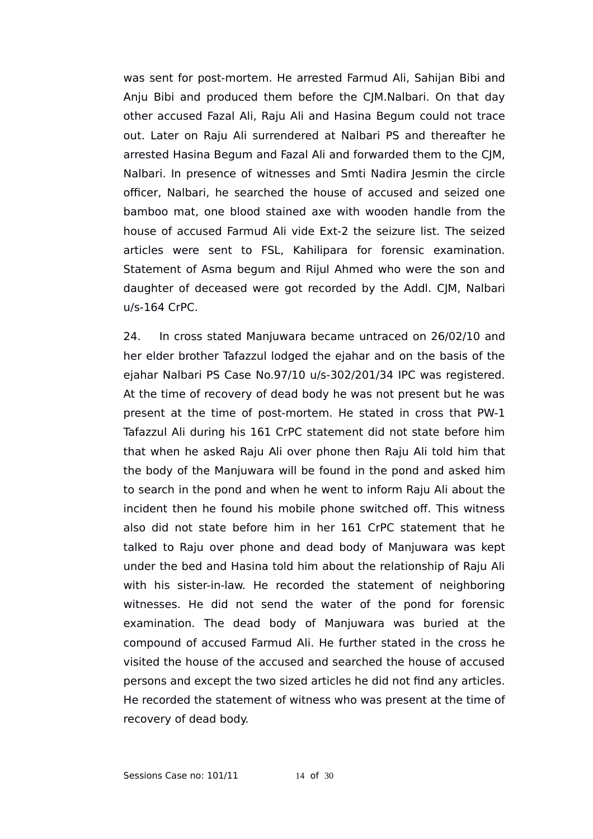was sent for post-mortem. He arrested Farmud Ali, Sahijan Bibi and Anju Bibi and produced them before the CJM.Nalbari. On that day other accused Fazal Ali, Raju Ali and Hasina Begum could not trace out. Later on Raju Ali surrendered at Nalbari PS and thereafter he arrested Hasina Begum and Fazal Ali and forwarded them to the CJM, Nalbari. In presence of witnesses and Smti Nadira Jesmin the circle officer, Nalbari, he searched the house of accused and seized one bamboo mat, one blood stained axe with wooden handle from the house of accused Farmud Ali vide Ext-2 the seizure list. The seized articles were sent to FSL, Kahilipara for forensic examination. Statement of Asma begum and Rijul Ahmed who were the son and daughter of deceased were got recorded by the Addl. CJM, Nalbari u/s-164 CrPC.

24. In cross stated Manjuwara became untraced on 26/02/10 and her elder brother Tafazzul lodged the ejahar and on the basis of the ejahar Nalbari PS Case No.97/10 u/s-302/201/34 IPC was registered. At the time of recovery of dead body he was not present but he was present at the time of post-mortem. He stated in cross that PW-1 Tafazzul Ali during his 161 CrPC statement did not state before him that when he asked Raju Ali over phone then Raju Ali told him that the body of the Manjuwara will be found in the pond and asked him to search in the pond and when he went to inform Raju Ali about the incident then he found his mobile phone switched off. This witness also did not state before him in her 161 CrPC statement that he talked to Raju over phone and dead body of Manjuwara was kept under the bed and Hasina told him about the relationship of Raju Ali with his sister-in-law. He recorded the statement of neighboring witnesses. He did not send the water of the pond for forensic examination. The dead body of Manjuwara was buried at the compound of accused Farmud Ali. He further stated in the cross he visited the house of the accused and searched the house of accused persons and except the two sized articles he did not find any articles. He recorded the statement of witness who was present at the time of recovery of dead body.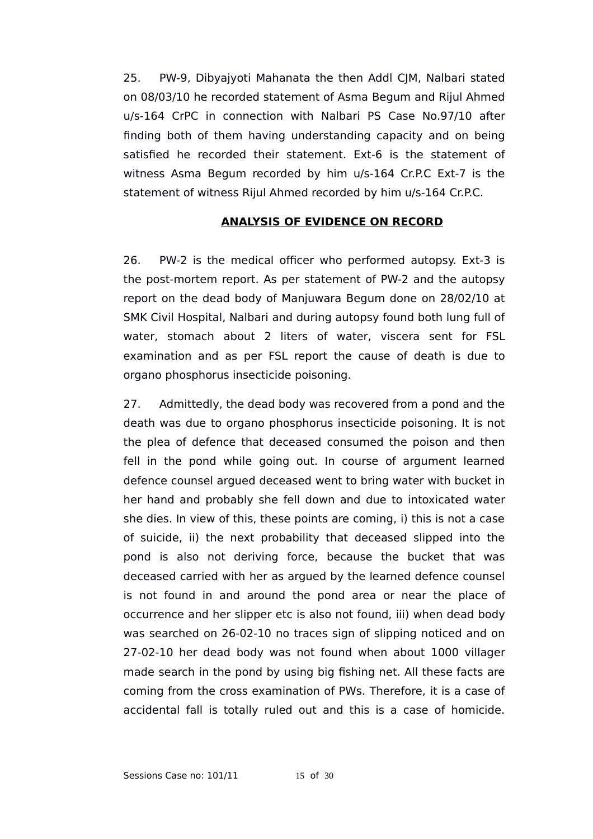25. PW-9, Dibyajyoti Mahanata the then Addl CJM, Nalbari stated on 08/03/10 he recorded statement of Asma Begum and Rijul Ahmed u/s-164 CrPC in connection with Nalbari PS Case No.97/10 after finding both of them having understanding capacity and on being satisfied he recorded their statement. Ext-6 is the statement of witness Asma Begum recorded by him u/s-164 Cr.P.C Ext-7 is the statement of witness Rijul Ahmed recorded by him u/s-164 Cr.P.C.

# **ANALYSIS OF EVIDENCE ON RECORD**

26. PW-2 is the medical officer who performed autopsy. Ext-3 is the post-mortem report. As per statement of PW-2 and the autopsy report on the dead body of Manjuwara Begum done on 28/02/10 at SMK Civil Hospital, Nalbari and during autopsy found both lung full of water, stomach about 2 liters of water, viscera sent for FSL examination and as per FSL report the cause of death is due to organo phosphorus insecticide poisoning.

27. Admittedly, the dead body was recovered from a pond and the death was due to organo phosphorus insecticide poisoning. It is not the plea of defence that deceased consumed the poison and then fell in the pond while going out. In course of argument learned defence counsel argued deceased went to bring water with bucket in her hand and probably she fell down and due to intoxicated water she dies. In view of this, these points are coming, i) this is not a case of suicide, ii) the next probability that deceased slipped into the pond is also not deriving force, because the bucket that was deceased carried with her as argued by the learned defence counsel is not found in and around the pond area or near the place of occurrence and her slipper etc is also not found, iii) when dead body was searched on 26-02-10 no traces sign of slipping noticed and on 27-02-10 her dead body was not found when about 1000 villager made search in the pond by using big fishing net. All these facts are coming from the cross examination of PWs. Therefore, it is a case of accidental fall is totally ruled out and this is a case of homicide.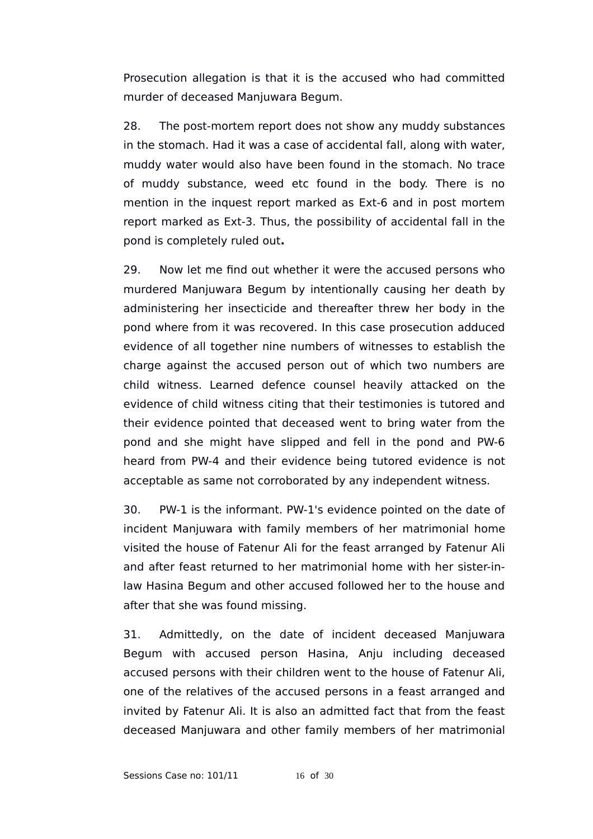Prosecution allegation is that it is the accused who had committed murder of deceased Manjuwara Begum.

28. The post-mortem report does not show any muddy substances in the stomach. Had it was a case of accidental fall, along with water, muddy water would also have been found in the stomach. No trace of muddy substance, weed etc found in the body. There is no mention in the inquest report marked as Ext-6 and in post mortem report marked as Ext-3. Thus, the possibility of accidental fall in the pond is completely ruled out**.** 

29. Now let me find out whether it were the accused persons who murdered Manjuwara Begum by intentionally causing her death by administering her insecticide and thereafter threw her body in the pond where from it was recovered. In this case prosecution adduced evidence of all together nine numbers of witnesses to establish the charge against the accused person out of which two numbers are child witness. Learned defence counsel heavily attacked on the evidence of child witness citing that their testimonies is tutored and their evidence pointed that deceased went to bring water from the pond and she might have slipped and fell in the pond and PW-6 heard from PW-4 and their evidence being tutored evidence is not acceptable as same not corroborated by any independent witness.

30. PW-1 is the informant. PW-1's evidence pointed on the date of incident Manjuwara with family members of her matrimonial home visited the house of Fatenur Ali for the feast arranged by Fatenur Ali and after feast returned to her matrimonial home with her sister-inlaw Hasina Begum and other accused followed her to the house and after that she was found missing.

31. Admittedly, on the date of incident deceased Manjuwara Begum with accused person Hasina, Anju including deceased accused persons with their children went to the house of Fatenur Ali, one of the relatives of the accused persons in a feast arranged and invited by Fatenur Ali. It is also an admitted fact that from the feast deceased Manjuwara and other family members of her matrimonial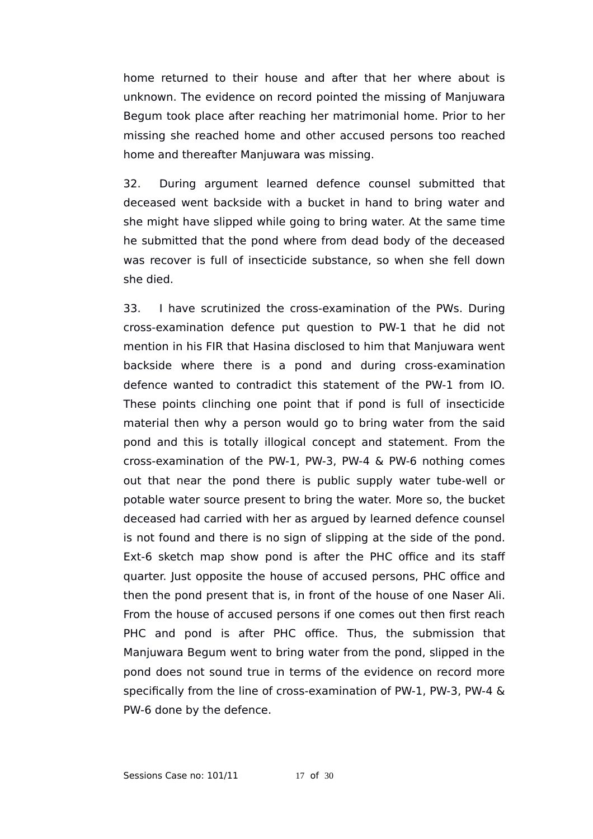home returned to their house and after that her where about is unknown. The evidence on record pointed the missing of Manjuwara Begum took place after reaching her matrimonial home. Prior to her missing she reached home and other accused persons too reached home and thereafter Manjuwara was missing.

32. During argument learned defence counsel submitted that deceased went backside with a bucket in hand to bring water and she might have slipped while going to bring water. At the same time he submitted that the pond where from dead body of the deceased was recover is full of insecticide substance, so when she fell down she died.

33. I have scrutinized the cross-examination of the PWs. During cross-examination defence put question to PW-1 that he did not mention in his FIR that Hasina disclosed to him that Manjuwara went backside where there is a pond and during cross-examination defence wanted to contradict this statement of the PW-1 from IO. These points clinching one point that if pond is full of insecticide material then why a person would go to bring water from the said pond and this is totally illogical concept and statement. From the cross-examination of the PW-1, PW-3, PW-4 & PW-6 nothing comes out that near the pond there is public supply water tube-well or potable water source present to bring the water. More so, the bucket deceased had carried with her as argued by learned defence counsel is not found and there is no sign of slipping at the side of the pond. Ext-6 sketch map show pond is after the PHC office and its staff quarter. Just opposite the house of accused persons, PHC office and then the pond present that is, in front of the house of one Naser Ali. From the house of accused persons if one comes out then first reach PHC and pond is after PHC office. Thus, the submission that Manjuwara Begum went to bring water from the pond, slipped in the pond does not sound true in terms of the evidence on record more specifically from the line of cross-examination of PW-1, PW-3, PW-4 & PW-6 done by the defence.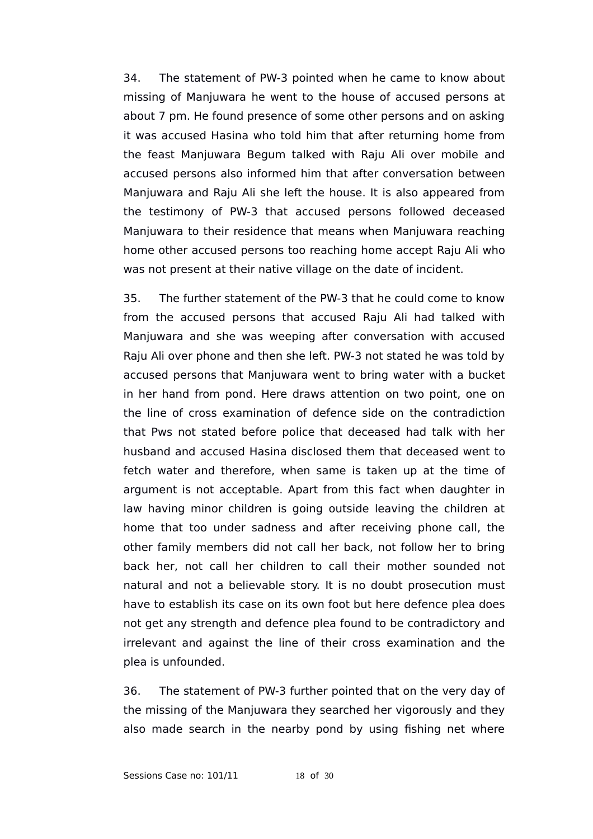34. The statement of PW-3 pointed when he came to know about missing of Manjuwara he went to the house of accused persons at about 7 pm. He found presence of some other persons and on asking it was accused Hasina who told him that after returning home from the feast Manjuwara Begum talked with Raju Ali over mobile and accused persons also informed him that after conversation between Manjuwara and Raju Ali she left the house. It is also appeared from the testimony of PW-3 that accused persons followed deceased Manjuwara to their residence that means when Manjuwara reaching home other accused persons too reaching home accept Raju Ali who was not present at their native village on the date of incident.

35. The further statement of the PW-3 that he could come to know from the accused persons that accused Raju Ali had talked with Manjuwara and she was weeping after conversation with accused Raju Ali over phone and then she left. PW-3 not stated he was told by accused persons that Manjuwara went to bring water with a bucket in her hand from pond. Here draws attention on two point, one on the line of cross examination of defence side on the contradiction that Pws not stated before police that deceased had talk with her husband and accused Hasina disclosed them that deceased went to fetch water and therefore, when same is taken up at the time of argument is not acceptable. Apart from this fact when daughter in law having minor children is going outside leaving the children at home that too under sadness and after receiving phone call, the other family members did not call her back, not follow her to bring back her, not call her children to call their mother sounded not natural and not a believable story. It is no doubt prosecution must have to establish its case on its own foot but here defence plea does not get any strength and defence plea found to be contradictory and irrelevant and against the line of their cross examination and the plea is unfounded.

36. The statement of PW-3 further pointed that on the very day of the missing of the Manjuwara they searched her vigorously and they also made search in the nearby pond by using fishing net where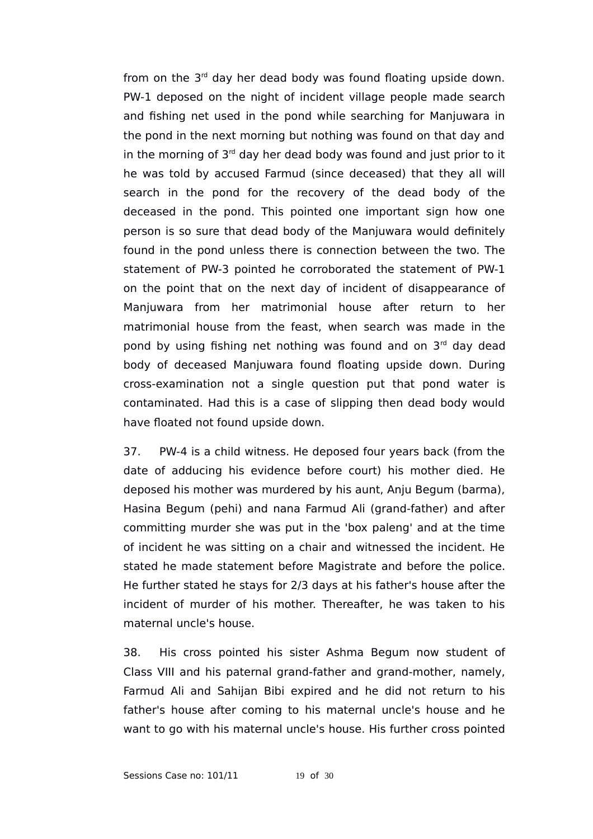from on the  $3<sup>rd</sup>$  day her dead body was found floating upside down. PW-1 deposed on the night of incident village people made search and fishing net used in the pond while searching for Manjuwara in the pond in the next morning but nothing was found on that day and in the morning of  $3<sup>rd</sup>$  day her dead body was found and just prior to it he was told by accused Farmud (since deceased) that they all will search in the pond for the recovery of the dead body of the deceased in the pond. This pointed one important sign how one person is so sure that dead body of the Manjuwara would definitely found in the pond unless there is connection between the two. The statement of PW-3 pointed he corroborated the statement of PW-1 on the point that on the next day of incident of disappearance of Manjuwara from her matrimonial house after return to her matrimonial house from the feast, when search was made in the pond by using fishing net nothing was found and on  $3<sup>rd</sup>$  day dead body of deceased Manjuwara found floating upside down. During cross-examination not a single question put that pond water is contaminated. Had this is a case of slipping then dead body would have floated not found upside down.

37. PW-4 is a child witness. He deposed four years back (from the date of adducing his evidence before court) his mother died. He deposed his mother was murdered by his aunt, Anju Begum (barma), Hasina Begum (pehi) and nana Farmud Ali (grand-father) and after committing murder she was put in the 'box paleng' and at the time of incident he was sitting on a chair and witnessed the incident. He stated he made statement before Magistrate and before the police. He further stated he stays for 2/3 days at his father's house after the incident of murder of his mother. Thereafter, he was taken to his maternal uncle's house.

38. His cross pointed his sister Ashma Begum now student of Class VIII and his paternal grand-father and grand-mother, namely, Farmud Ali and Sahijan Bibi expired and he did not return to his father's house after coming to his maternal uncle's house and he want to go with his maternal uncle's house. His further cross pointed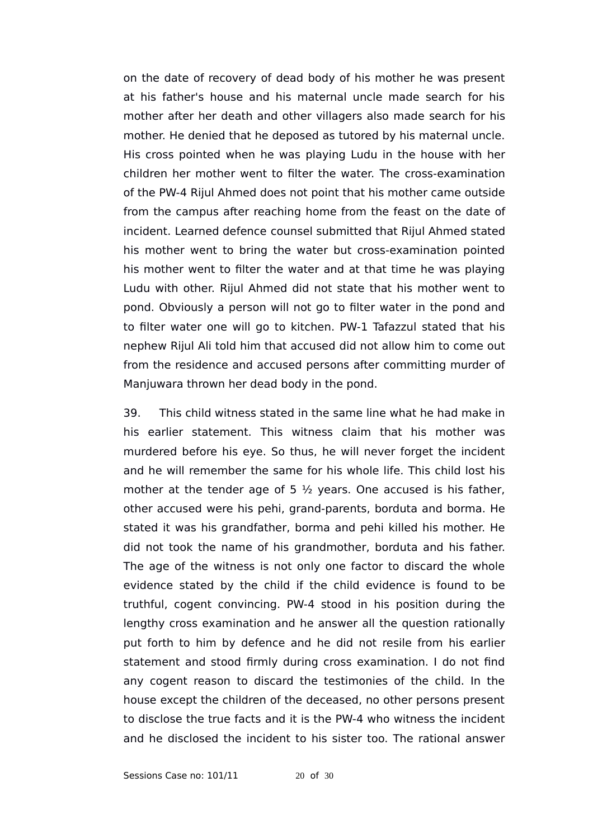on the date of recovery of dead body of his mother he was present at his father's house and his maternal uncle made search for his mother after her death and other villagers also made search for his mother. He denied that he deposed as tutored by his maternal uncle. His cross pointed when he was playing Ludu in the house with her children her mother went to filter the water. The cross-examination of the PW-4 Rijul Ahmed does not point that his mother came outside from the campus after reaching home from the feast on the date of incident. Learned defence counsel submitted that Rijul Ahmed stated his mother went to bring the water but cross-examination pointed his mother went to filter the water and at that time he was playing Ludu with other. Rijul Ahmed did not state that his mother went to pond. Obviously a person will not go to filter water in the pond and to filter water one will go to kitchen. PW-1 Tafazzul stated that his nephew Rijul Ali told him that accused did not allow him to come out from the residence and accused persons after committing murder of Manjuwara thrown her dead body in the pond.

39. This child witness stated in the same line what he had make in his earlier statement. This witness claim that his mother was murdered before his eye. So thus, he will never forget the incident and he will remember the same for his whole life. This child lost his mother at the tender age of 5  $\frac{1}{2}$  years. One accused is his father, other accused were his pehi, grand-parents, borduta and borma. He stated it was his grandfather, borma and pehi killed his mother. He did not took the name of his grandmother, borduta and his father. The age of the witness is not only one factor to discard the whole evidence stated by the child if the child evidence is found to be truthful, cogent convincing. PW-4 stood in his position during the lengthy cross examination and he answer all the question rationally put forth to him by defence and he did not resile from his earlier statement and stood firmly during cross examination. I do not find any cogent reason to discard the testimonies of the child. In the house except the children of the deceased, no other persons present to disclose the true facts and it is the PW-4 who witness the incident and he disclosed the incident to his sister too. The rational answer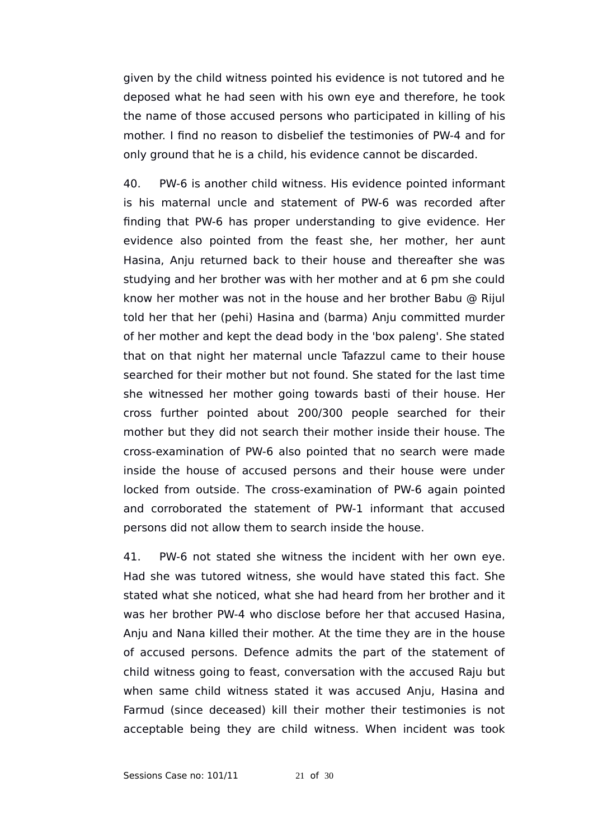given by the child witness pointed his evidence is not tutored and he deposed what he had seen with his own eye and therefore, he took the name of those accused persons who participated in killing of his mother. I find no reason to disbelief the testimonies of PW-4 and for only ground that he is a child, his evidence cannot be discarded.

40. PW-6 is another child witness. His evidence pointed informant is his maternal uncle and statement of PW-6 was recorded after finding that PW-6 has proper understanding to give evidence. Her evidence also pointed from the feast she, her mother, her aunt Hasina, Anju returned back to their house and thereafter she was studying and her brother was with her mother and at 6 pm she could know her mother was not in the house and her brother Babu @ Rijul told her that her (pehi) Hasina and (barma) Anju committed murder of her mother and kept the dead body in the 'box paleng'. She stated that on that night her maternal uncle Tafazzul came to their house searched for their mother but not found. She stated for the last time she witnessed her mother going towards basti of their house. Her cross further pointed about 200/300 people searched for their mother but they did not search their mother inside their house. The cross-examination of PW-6 also pointed that no search were made inside the house of accused persons and their house were under locked from outside. The cross-examination of PW-6 again pointed and corroborated the statement of PW-1 informant that accused persons did not allow them to search inside the house.

41. PW-6 not stated she witness the incident with her own eye. Had she was tutored witness, she would have stated this fact. She stated what she noticed, what she had heard from her brother and it was her brother PW-4 who disclose before her that accused Hasina, Anju and Nana killed their mother. At the time they are in the house of accused persons. Defence admits the part of the statement of child witness going to feast, conversation with the accused Raju but when same child witness stated it was accused Anju, Hasina and Farmud (since deceased) kill their mother their testimonies is not acceptable being they are child witness. When incident was took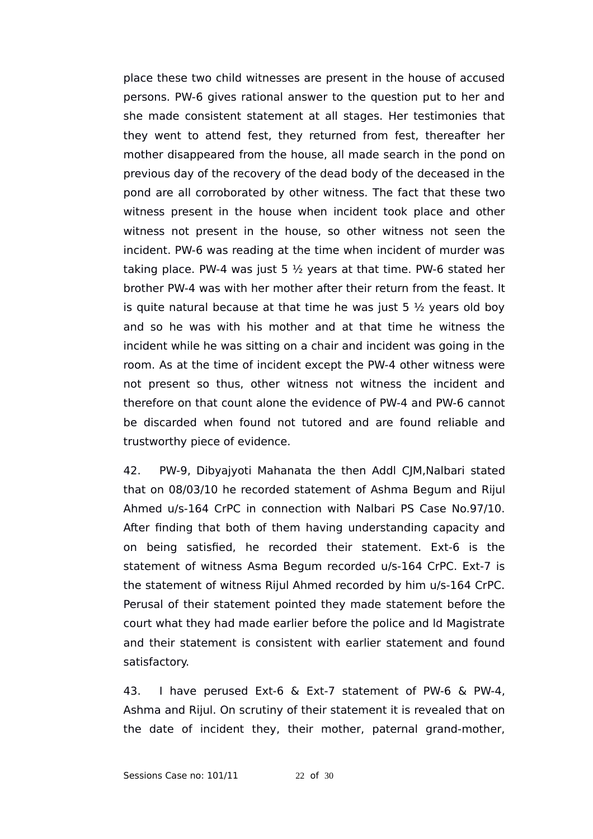place these two child witnesses are present in the house of accused persons. PW-6 gives rational answer to the question put to her and she made consistent statement at all stages. Her testimonies that they went to attend fest, they returned from fest, thereafter her mother disappeared from the house, all made search in the pond on previous day of the recovery of the dead body of the deceased in the pond are all corroborated by other witness. The fact that these two witness present in the house when incident took place and other witness not present in the house, so other witness not seen the incident. PW-6 was reading at the time when incident of murder was taking place. PW-4 was just 5  $\frac{1}{2}$  years at that time. PW-6 stated her brother PW-4 was with her mother after their return from the feast. It is quite natural because at that time he was just 5  $\frac{1}{2}$  years old boy and so he was with his mother and at that time he witness the incident while he was sitting on a chair and incident was going in the room. As at the time of incident except the PW-4 other witness were not present so thus, other witness not witness the incident and therefore on that count alone the evidence of PW-4 and PW-6 cannot be discarded when found not tutored and are found reliable and trustworthy piece of evidence.

42. PW-9, Dibyajyoti Mahanata the then Addl CJM,Nalbari stated that on 08/03/10 he recorded statement of Ashma Begum and Rijul Ahmed u/s-164 CrPC in connection with Nalbari PS Case No.97/10. After finding that both of them having understanding capacity and on being satisfied, he recorded their statement. Ext-6 is the statement of witness Asma Begum recorded u/s-164 CrPC. Ext-7 is the statement of witness Rijul Ahmed recorded by him u/s-164 CrPC. Perusal of their statement pointed they made statement before the court what they had made earlier before the police and ld Magistrate and their statement is consistent with earlier statement and found satisfactory.

43. I have perused Ext-6 & Ext-7 statement of PW-6 & PW-4, Ashma and Rijul. On scrutiny of their statement it is revealed that on the date of incident they, their mother, paternal grand-mother,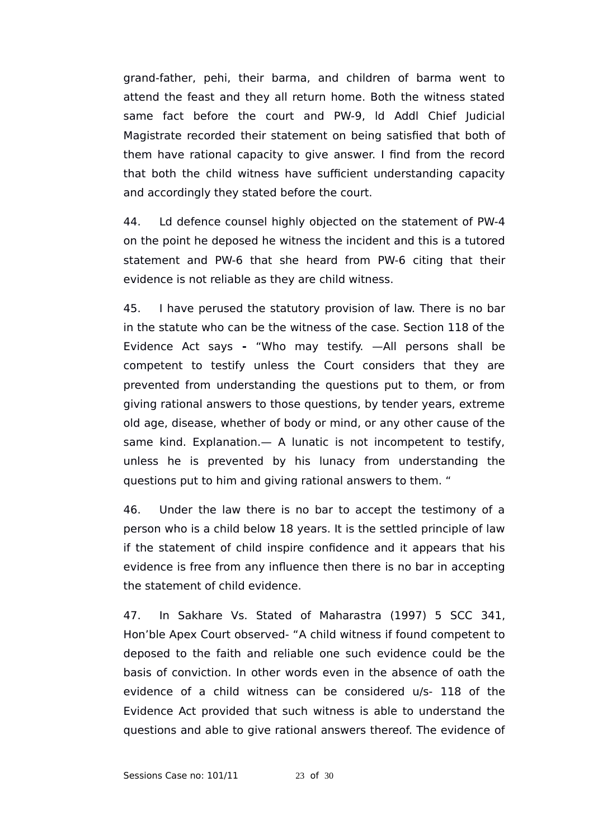grand-father, pehi, their barma, and children of barma went to attend the feast and they all return home. Both the witness stated same fact before the court and PW-9, ld Addl Chief Judicial Magistrate recorded their statement on being satisfied that both of them have rational capacity to give answer. I find from the record that both the child witness have sufficient understanding capacity and accordingly they stated before the court.

44. Ld defence counsel highly objected on the statement of PW-4 on the point he deposed he witness the incident and this is a tutored statement and PW-6 that she heard from PW-6 citing that their evidence is not reliable as they are child witness.

45. I have perused the statutory provision of law. There is no bar in the statute who can be the witness of the case. Section 118 of the Evidence Act says **-** "Who may testify. —All persons shall be competent to testify unless the Court considers that they are prevented from understanding the questions put to them, or from giving rational answers to those questions, by tender years, extreme old age, disease, whether of body or mind, or any other cause of the same kind. Explanation.— A lunatic is not incompetent to testify, unless he is prevented by his lunacy from understanding the questions put to him and giving rational answers to them. "

46. Under the law there is no bar to accept the testimony of a person who is a child below 18 years. It is the settled principle of law if the statement of child inspire confidence and it appears that his evidence is free from any influence then there is no bar in accepting the statement of child evidence.

47. In Sakhare Vs. Stated of Maharastra (1997) 5 SCC 341, Hon'ble Apex Court observed- "A child witness if found competent to deposed to the faith and reliable one such evidence could be the basis of conviction. In other words even in the absence of oath the evidence of a child witness can be considered u/s- 118 of the Evidence Act provided that such witness is able to understand the questions and able to give rational answers thereof. The evidence of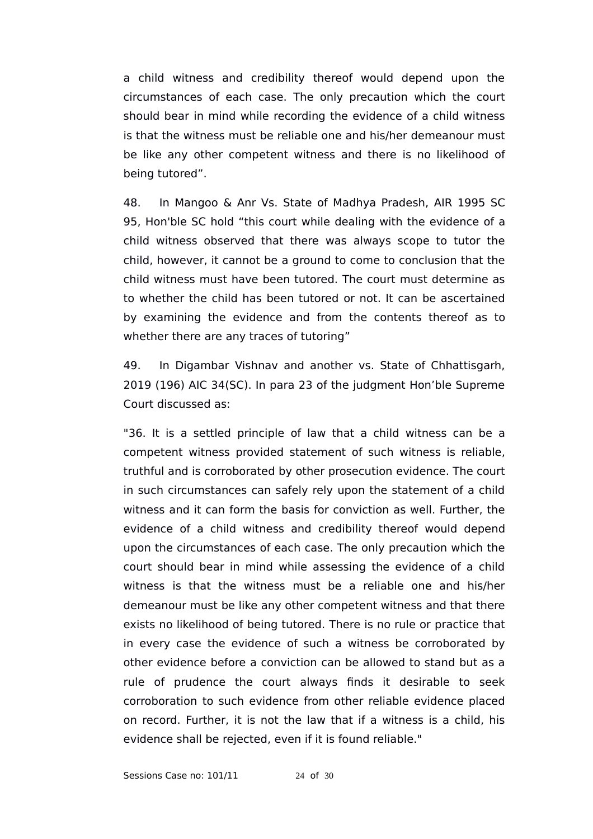a child witness and credibility thereof would depend upon the circumstances of each case. The only precaution which the court should bear in mind while recording the evidence of a child witness is that the witness must be reliable one and his/her demeanour must be like any other competent witness and there is no likelihood of being tutored".

48. In Mangoo & Anr Vs. State of Madhya Pradesh, AIR 1995 SC 95, Hon'ble SC hold "this court while dealing with the evidence of a child witness observed that there was always scope to tutor the child, however, it cannot be a ground to come to conclusion that the child witness must have been tutored. The court must determine as to whether the child has been tutored or not. It can be ascertained by examining the evidence and from the contents thereof as to whether there are any traces of tutoring"

49. In Digambar Vishnav and another vs. State of Chhattisgarh, 2019 (196) AIC 34(SC). In para 23 of the judgment Hon'ble Supreme Court discussed as:

"36. It is a settled principle of law that a child witness can be a competent witness provided statement of such witness is reliable, truthful and is corroborated by other prosecution evidence. The court in such circumstances can safely rely upon the statement of a child witness and it can form the basis for conviction as well. Further, the evidence of a child witness and credibility thereof would depend upon the circumstances of each case. The only precaution which the court should bear in mind while assessing the evidence of a child witness is that the witness must be a reliable one and his/her demeanour must be like any other competent witness and that there exists no likelihood of being tutored. There is no rule or practice that in every case the evidence of such a witness be corroborated by other evidence before a conviction can be allowed to stand but as a rule of prudence the court always finds it desirable to seek corroboration to such evidence from other reliable evidence placed on record. Further, it is not the law that if a witness is a child, his evidence shall be rejected, even if it is found reliable."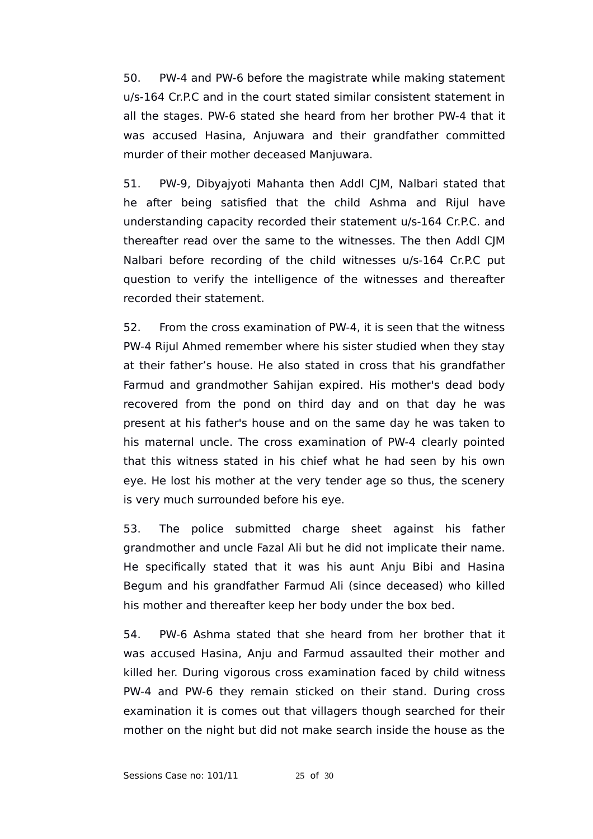50. PW-4 and PW-6 before the magistrate while making statement u/s-164 Cr.P.C and in the court stated similar consistent statement in all the stages. PW-6 stated she heard from her brother PW-4 that it was accused Hasina, Anjuwara and their grandfather committed murder of their mother deceased Manjuwara.

51. PW-9, Dibyajyoti Mahanta then Addl CJM, Nalbari stated that he after being satisfied that the child Ashma and Rijul have understanding capacity recorded their statement u/s-164 Cr.P.C. and thereafter read over the same to the witnesses. The then Addl CJM Nalbari before recording of the child witnesses u/s-164 Cr.P.C put question to verify the intelligence of the witnesses and thereafter recorded their statement.

52. From the cross examination of PW-4, it is seen that the witness PW-4 Rijul Ahmed remember where his sister studied when they stay at their father's house. He also stated in cross that his grandfather Farmud and grandmother Sahijan expired. His mother's dead body recovered from the pond on third day and on that day he was present at his father's house and on the same day he was taken to his maternal uncle. The cross examination of PW-4 clearly pointed that this witness stated in his chief what he had seen by his own eye. He lost his mother at the very tender age so thus, the scenery is very much surrounded before his eye.

53. The police submitted charge sheet against his father grandmother and uncle Fazal Ali but he did not implicate their name. He specifically stated that it was his aunt Anju Bibi and Hasina Begum and his grandfather Farmud Ali (since deceased) who killed his mother and thereafter keep her body under the box bed.

54. PW-6 Ashma stated that she heard from her brother that it was accused Hasina, Anju and Farmud assaulted their mother and killed her. During vigorous cross examination faced by child witness PW-4 and PW-6 they remain sticked on their stand. During cross examination it is comes out that villagers though searched for their mother on the night but did not make search inside the house as the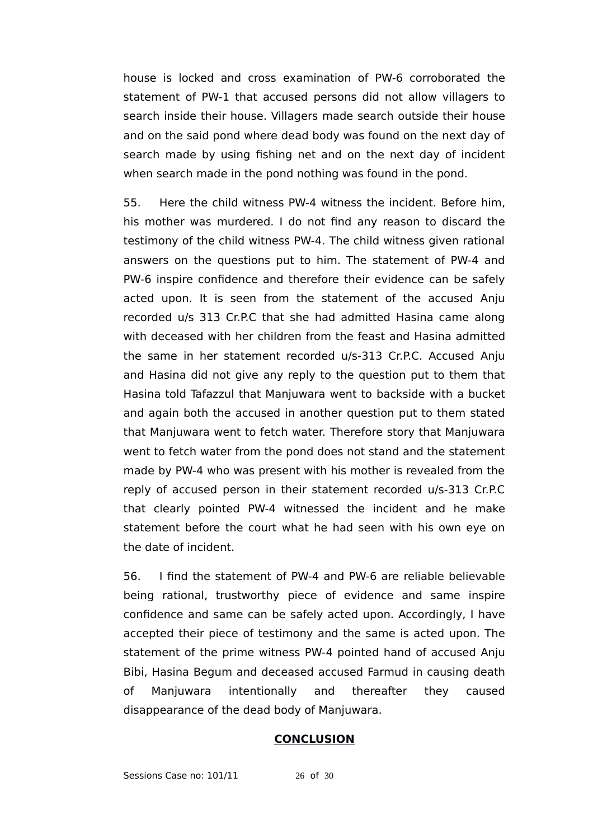house is locked and cross examination of PW-6 corroborated the statement of PW-1 that accused persons did not allow villagers to search inside their house. Villagers made search outside their house and on the said pond where dead body was found on the next day of search made by using fishing net and on the next day of incident when search made in the pond nothing was found in the pond.

55. Here the child witness PW-4 witness the incident. Before him, his mother was murdered. I do not find any reason to discard the testimony of the child witness PW-4. The child witness given rational answers on the questions put to him. The statement of PW-4 and PW-6 inspire confidence and therefore their evidence can be safely acted upon. It is seen from the statement of the accused Anju recorded u/s 313 Cr.P.C that she had admitted Hasina came along with deceased with her children from the feast and Hasina admitted the same in her statement recorded u/s-313 Cr.P.C. Accused Anju and Hasina did not give any reply to the question put to them that Hasina told Tafazzul that Manjuwara went to backside with a bucket and again both the accused in another question put to them stated that Manjuwara went to fetch water. Therefore story that Manjuwara went to fetch water from the pond does not stand and the statement made by PW-4 who was present with his mother is revealed from the reply of accused person in their statement recorded u/s-313 Cr.P.C that clearly pointed PW-4 witnessed the incident and he make statement before the court what he had seen with his own eye on the date of incident.

56. I find the statement of PW-4 and PW-6 are reliable believable being rational, trustworthy piece of evidence and same inspire confidence and same can be safely acted upon. Accordingly, I have accepted their piece of testimony and the same is acted upon. The statement of the prime witness PW-4 pointed hand of accused Anju Bibi, Hasina Begum and deceased accused Farmud in causing death of Manjuwara intentionally and thereafter they caused disappearance of the dead body of Manjuwara.

### **CONCLUSION**

Sessions Case no: 101/11 26 of 30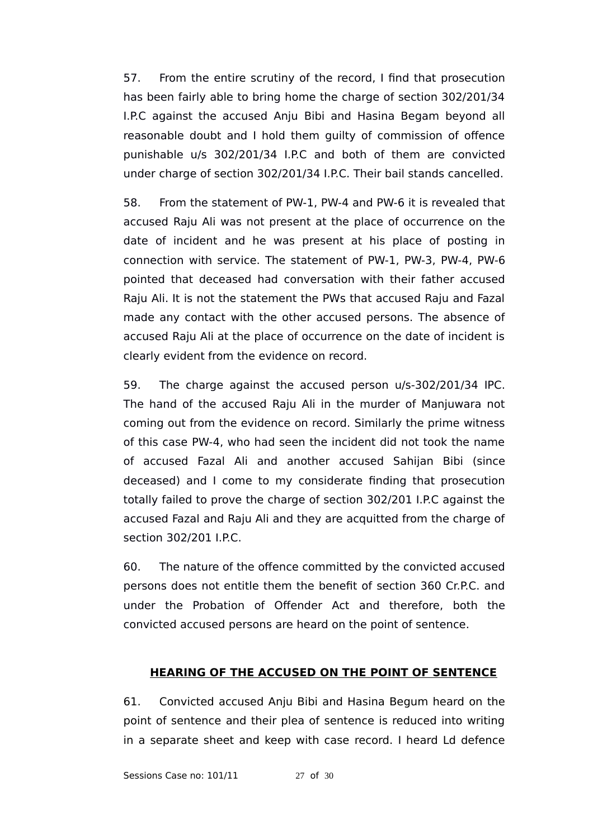57. From the entire scrutiny of the record, I find that prosecution has been fairly able to bring home the charge of section 302/201/34 I.P.C against the accused Anju Bibi and Hasina Begam beyond all reasonable doubt and I hold them guilty of commission of offence punishable u/s 302/201/34 I.P.C and both of them are convicted under charge of section 302/201/34 I.P.C. Their bail stands cancelled.

58. From the statement of PW-1, PW-4 and PW-6 it is revealed that accused Raju Ali was not present at the place of occurrence on the date of incident and he was present at his place of posting in connection with service. The statement of PW-1, PW-3, PW-4, PW-6 pointed that deceased had conversation with their father accused Raju Ali. It is not the statement the PWs that accused Raju and Fazal made any contact with the other accused persons. The absence of accused Raju Ali at the place of occurrence on the date of incident is clearly evident from the evidence on record.

59. The charge against the accused person u/s-302/201/34 IPC. The hand of the accused Raju Ali in the murder of Manjuwara not coming out from the evidence on record. Similarly the prime witness of this case PW-4, who had seen the incident did not took the name of accused Fazal Ali and another accused Sahijan Bibi (since deceased) and I come to my considerate finding that prosecution totally failed to prove the charge of section 302/201 I.P.C against the accused Fazal and Raju Ali and they are acquitted from the charge of section 302/201 I.P.C.

60. The nature of the offence committed by the convicted accused persons does not entitle them the benefit of section 360 Cr.P.C. and under the Probation of Offender Act and therefore, both the convicted accused persons are heard on the point of sentence.

# **HEARING OF THE ACCUSED ON THE POINT OF SENTENCE**

61. Convicted accused Anju Bibi and Hasina Begum heard on the point of sentence and their plea of sentence is reduced into writing in a separate sheet and keep with case record. I heard Ld defence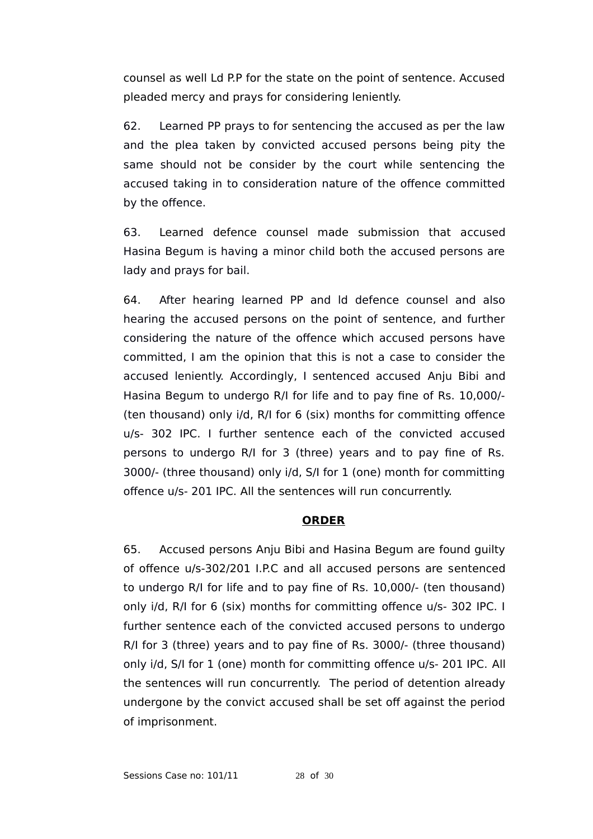counsel as well Ld P.P for the state on the point of sentence. Accused pleaded mercy and prays for considering leniently.

62. Learned PP prays to for sentencing the accused as per the law and the plea taken by convicted accused persons being pity the same should not be consider by the court while sentencing the accused taking in to consideration nature of the offence committed by the offence.

63. Learned defence counsel made submission that accused Hasina Begum is having a minor child both the accused persons are lady and prays for bail.

64. After hearing learned PP and ld defence counsel and also hearing the accused persons on the point of sentence, and further considering the nature of the offence which accused persons have committed, I am the opinion that this is not a case to consider the accused leniently. Accordingly, I sentenced accused Anju Bibi and Hasina Begum to undergo R/I for life and to pay fine of Rs. 10,000/- (ten thousand) only i/d, R/I for 6 (six) months for committing offence u/s- 302 IPC. I further sentence each of the convicted accused persons to undergo R/I for 3 (three) years and to pay fine of Rs. 3000/- (three thousand) only i/d, S/I for 1 (one) month for committing offence u/s- 201 IPC. All the sentences will run concurrently.

# **ORDER**

65. Accused persons Anju Bibi and Hasina Begum are found guilty of offence u/s-302/201 I.P.C and all accused persons are sentenced to undergo R/I for life and to pay fine of Rs. 10,000/- (ten thousand) only i/d, R/I for 6 (six) months for committing offence u/s- 302 IPC. I further sentence each of the convicted accused persons to undergo R/I for 3 (three) years and to pay fine of Rs. 3000/- (three thousand) only i/d, S/I for 1 (one) month for committing offence u/s- 201 IPC. All the sentences will run concurrently. The period of detention already undergone by the convict accused shall be set off against the period of imprisonment.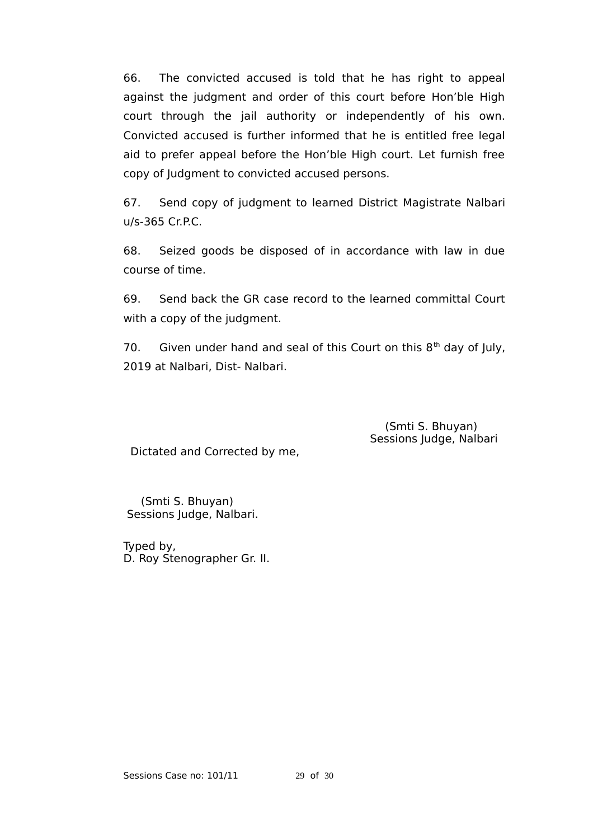66. The convicted accused is told that he has right to appeal against the judgment and order of this court before Hon'ble High court through the jail authority or independently of his own. Convicted accused is further informed that he is entitled free legal aid to prefer appeal before the Hon'ble High court. Let furnish free copy of Judgment to convicted accused persons.

67. Send copy of judgment to learned District Magistrate Nalbari u/s-365 Cr.P.C.

68. Seized goods be disposed of in accordance with law in due course of time.

69. Send back the GR case record to the learned committal Court with a copy of the judgment.

70. Given under hand and seal of this Court on this  $8<sup>th</sup>$  day of July, 2019 at Nalbari, Dist- Nalbari.

> (Smti S. Bhuyan) Sessions Judge, Nalbari

Dictated and Corrected by me,

 (Smti S. Bhuyan) Sessions Judge, Nalbari.

Typed by, D. Roy Stenographer Gr. II.